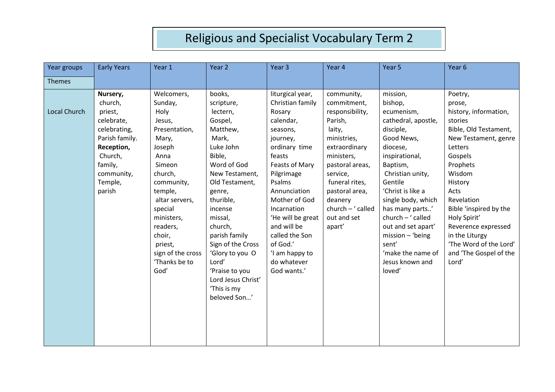| Year groups         | <b>Early Years</b> | Year 1            | Year 2             | Year <sub>3</sub> | Year 4            | Year 5              | Year 6                 |
|---------------------|--------------------|-------------------|--------------------|-------------------|-------------------|---------------------|------------------------|
| <b>Themes</b>       |                    |                   |                    |                   |                   |                     |                        |
|                     |                    |                   |                    |                   |                   |                     |                        |
|                     | Nursery,           | Welcomers,        | books,             | liturgical year,  | community,        | mission,            | Poetry,                |
|                     | church,            | Sunday,           | scripture,         | Christian family  | commitment,       | bishop,             | prose,                 |
| <b>Local Church</b> | priest,            | Holy              | lectern,           | Rosary            | responsibility,   | ecumenism,          | history, information,  |
|                     | celebrate,         | Jesus,            | Gospel,            | calendar,         | Parish,           | cathedral, apostle, | stories                |
|                     | celebrating,       | Presentation,     | Matthew,           | seasons,          | laity,            | disciple,           | Bible, Old Testament,  |
|                     | Parish family.     | Mary,             | Mark,              | journey,          | ministries,       | Good News,          | New Testament, genre   |
|                     | Reception,         | Joseph            | Luke John          | ordinary time     | extraordinary     | diocese,            | Letters                |
|                     | Church,            | Anna              | Bible,             | feasts            | ministers,        | inspirational,      | Gospels                |
|                     | family,            | Simeon            | Word of God        | Feasts of Mary    | pastoral areas,   | Baptism,            | Prophets               |
|                     | community,         | church,           | New Testament,     | Pilgrimage        | service,          | Christian unity,    | Wisdom                 |
|                     | Temple,            | community,        | Old Testament,     | Psalms            | funeral rites,    | Gentile             | History                |
|                     | parish             | temple,           | genre,             | Annunciation      | pastoral area,    | 'Christ is like a   | Acts                   |
|                     |                    | altar servers,    | thurible,          | Mother of God     | deanery           | single body, which  | Revelation             |
|                     |                    | special           | incense            | Incarnation       | church - ' called | has many parts'     | Bible 'inspired by the |
|                     |                    | ministers,        | missal,            | 'He will be great | out and set       | $church - 'called$  | Holy Spirit'           |
|                     |                    | readers,          | church,            | and will be       | apart'            | out and set apart'  | Reverence expressed    |
|                     |                    | choir,            | parish family      | called the Son    |                   | $mission - 'being$  | in the Liturgy         |
|                     |                    | priest,           | Sign of the Cross  | of God.'          |                   | sent'               | 'The Word of the Lord' |
|                     |                    | sign of the cross | 'Glory to you O    | 'I am happy to    |                   | 'make the name of   | and 'The Gospel of the |
|                     |                    | 'Thanks be to     | Lord'              | do whatever       |                   | Jesus known and     | Lord'                  |
|                     |                    | God'              | 'Praise to you     | God wants.'       |                   | loved'              |                        |
|                     |                    |                   | Lord Jesus Christ' |                   |                   |                     |                        |
|                     |                    |                   | 'This is my        |                   |                   |                     |                        |
|                     |                    |                   | beloved Son'       |                   |                   |                     |                        |
|                     |                    |                   |                    |                   |                   |                     |                        |
|                     |                    |                   |                    |                   |                   |                     |                        |
|                     |                    |                   |                    |                   |                   |                     |                        |
|                     |                    |                   |                    |                   |                   |                     |                        |
|                     |                    |                   |                    |                   |                   |                     |                        |